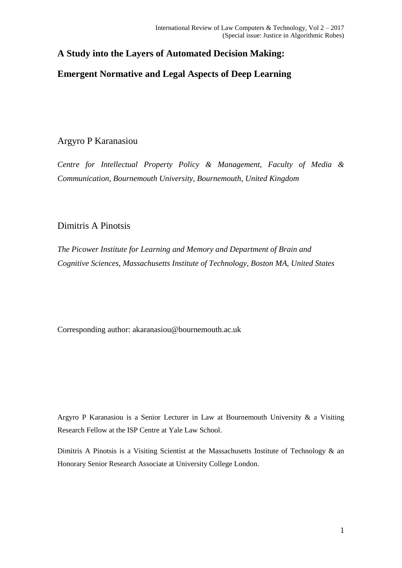## **A Study into the Layers of Automated Decision Making:**

# **Emergent Normative and Legal Aspects of Deep Learning**

## Argyro P Karanasiou

*Centre for Intellectual Property Policy & Management, Faculty of Media & Communication, Bournemouth University, Bournemouth, United Kingdom*

## Dimitris A Pinotsis

*The Picower Institute for Learning and Memory and Department of Brain and Cognitive Sciences, Massachusetts Institute of Technology, Boston MA, United States* 

Corresponding author: akaranasiou@bournemouth.ac.uk

Argyro P Karanasiou is a Senior Lecturer in Law at Bournemouth University & a Visiting Research Fellow at the ISP Centre at Yale Law School.

Dimitris A Pinotsis is a Visiting Scientist at the Massachusetts Institute of Technology & an Honorary Senior Research Associate at University College London.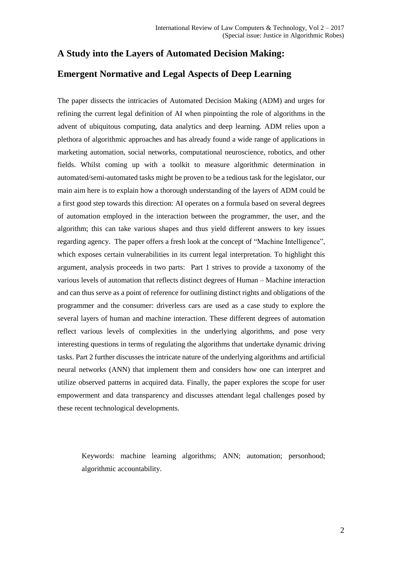# **A Study into the Layers of Automated Decision Making:**

## **Emergent Normative and Legal Aspects of Deep Learning**

The paper dissects the intricacies of Automated Decision Making (ADM) and urges for refining the current legal definition of AI when pinpointing the role of algorithms in the advent of ubiquitous computing, data analytics and deep learning. ADM relies upon a plethora of algorithmic approaches and has already found a wide range of applications in marketing automation, social networks, computational neuroscience, robotics, and other fields. Whilst coming up with a toolkit to measure algorithmic determination in automated/semi-automated tasks might be proven to be a tedious task for the legislator, our main aim here is to explain how a thorough understanding of the layers of ADM could be a first good step towards this direction: AI operates on a formula based on several degrees of automation employed in the interaction between the programmer, the user, and the algorithm; this can take various shapes and thus yield different answers to key issues regarding agency. The paper offers a fresh look at the concept of "Machine Intelligence", which exposes certain vulnerabilities in its current legal interpretation. To highlight this argument, analysis proceeds in two parts: Part 1 strives to provide a taxonomy of the various levels of automation that reflects distinct degrees of Human – Machine interaction and can thus serve as a point of reference for outlining distinct rights and obligations of the programmer and the consumer: driverless cars are used as a case study to explore the several layers of human and machine interaction. These different degrees of automation reflect various levels of complexities in the underlying algorithms, and pose very interesting questions in terms of regulating the algorithms that undertake dynamic driving tasks. Part 2 further discusses the intricate nature of the underlying algorithms and artificial neural networks (ANN) that implement them and considers how one can interpret and utilize observed patterns in acquired data. Finally, the paper explores the scope for user empowerment and data transparency and discusses attendant legal challenges posed by these recent technological developments.

Keywords: machine learning algorithms; ANN; automation; personhood; algorithmic accountability.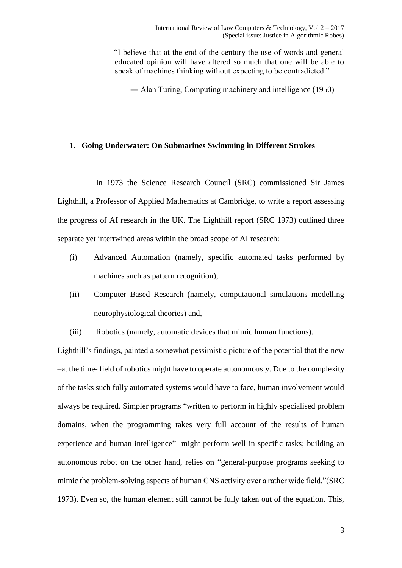"I believe that at the end of the century the use of words and general educated opinion will have altered so much that one will be able to speak of machines thinking without expecting to be contradicted."

― Alan Turing, Computing machinery and intelligence (1950)

### **1. Going Underwater: On Submarines Swimming in Different Strokes**

 In 1973 the Science Research Council (SRC) commissioned Sir James Lighthill, a Professor of Applied Mathematics at Cambridge, to write a report assessing the progress of AI research in the UK. The Lighthill report (SRC 1973) outlined three separate yet intertwined areas within the broad scope of AI research:

- (i) Advanced Automation (namely, specific automated tasks performed by machines such as pattern recognition),
- (ii) Computer Based Research (namely, computational simulations modelling neurophysiological theories) and,
- (iii) Robotics (namely, automatic devices that mimic human functions).

Lighthill's findings, painted a somewhat pessimistic picture of the potential that the new –at the time- field of robotics might have to operate autonomously. Due to the complexity of the tasks such fully automated systems would have to face, human involvement would always be required. Simpler programs "written to perform in highly specialised problem domains, when the programming takes very full account of the results of human experience and human intelligence" might perform well in specific tasks; building an autonomous robot on the other hand, relies on "general-purpose programs seeking to mimic the problem-solving aspects of human CNS activity over a rather wide field."(SRC 1973). Even so, the human element still cannot be fully taken out of the equation. This,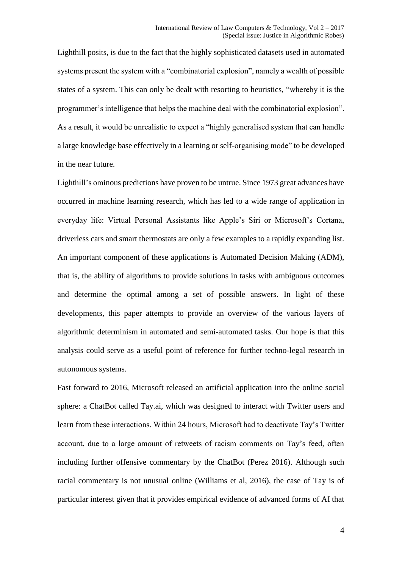Lighthill posits, is due to the fact that the highly sophisticated datasets used in automated systems present the system with a "combinatorial explosion", namely a wealth of possible states of a system. This can only be dealt with resorting to heuristics, "whereby it is the programmer's intelligence that helps the machine deal with the combinatorial explosion". As a result, it would be unrealistic to expect a "highly generalised system that can handle a large knowledge base effectively in a learning or self-organising mode" to be developed in the near future.

Lighthill's ominous predictions have proven to be untrue. Since 1973 great advances have occurred in machine learning research, which has led to a wide range of application in everyday life: Virtual Personal Assistants like Apple's Siri or Microsoft's Cortana, driverless cars and smart thermostats are only a few examples to a rapidly expanding list. An important component of these applications is Automated Decision Making (ADM), that is, the ability of algorithms to provide solutions in tasks with ambiguous outcomes and determine the optimal among a set of possible answers. In light of these developments, this paper attempts to provide an overview of the various layers of algorithmic determinism in automated and semi-automated tasks. Our hope is that this analysis could serve as a useful point of reference for further techno-legal research in autonomous systems.

Fast forward to 2016, Microsoft released an artificial application into the online social sphere: a ChatBot called Tay.ai, which was designed to interact with Twitter users and learn from these interactions. Within 24 hours, Microsoft had to deactivate Tay's Twitter account, due to a large amount of retweets of racism comments on Tay's feed, often including further offensive commentary by the ChatBot (Perez 2016). Although such racial commentary is not unusual online (Williams et al, 2016), the case of Tay is of particular interest given that it provides empirical evidence of advanced forms of AI that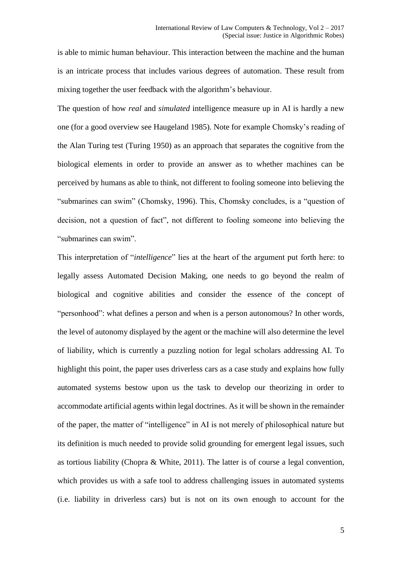is able to mimic human behaviour. This interaction between the machine and the human is an intricate process that includes various degrees of automation. These result from mixing together the user feedback with the algorithm's behaviour.

The question of how *real* and *simulated* intelligence measure up in AI is hardly a new one (for a good overview see Haugeland 1985). Note for example Chomsky's reading of the Alan Turing test (Turing 1950) as an approach that separates the cognitive from the biological elements in order to provide an answer as to whether machines can be perceived by humans as able to think, not different to fooling someone into believing the "submarines can swim" (Chomsky, 1996). This, Chomsky concludes, is a "question of decision, not a question of fact", not different to fooling someone into believing the "submarines can swim".

This interpretation of "*intelligence*" lies at the heart of the argument put forth here: to legally assess Automated Decision Making, one needs to go beyond the realm of biological and cognitive abilities and consider the essence of the concept of "personhood": what defines a person and when is a person autonomous? In other words, the level of autonomy displayed by the agent or the machine will also determine the level of liability, which is currently a puzzling notion for legal scholars addressing AI. To highlight this point, the paper uses driverless cars as a case study and explains how fully automated systems bestow upon us the task to develop our theorizing in order to accommodate artificial agents within legal doctrines. As it will be shown in the remainder of the paper, the matter of "intelligence" in AI is not merely of philosophical nature but its definition is much needed to provide solid grounding for emergent legal issues, such as tortious liability (Chopra & White, 2011). The latter is of course a legal convention, which provides us with a safe tool to address challenging issues in automated systems (i.e. liability in driverless cars) but is not on its own enough to account for the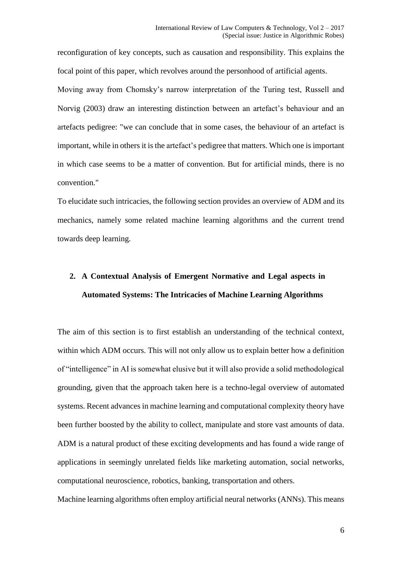reconfiguration of key concepts, such as causation and responsibility. This explains the focal point of this paper, which revolves around the personhood of artificial agents.

Moving away from Chomsky's narrow interpretation of the Turing test, Russell and Norvig (2003) draw an interesting distinction between an artefact's behaviour and an artefacts pedigree: "we can conclude that in some cases, the behaviour of an artefact is important, while in others it is the artefact's pedigree that matters. Which one is important in which case seems to be a matter of convention. But for artificial minds, there is no convention."

To elucidate such intricacies, the following section provides an overview of ADM and its mechanics, namely some related machine learning algorithms and the current trend towards deep learning.

# **2. A Contextual Analysis of Emergent Normative and Legal aspects in Automated Systems: The Intricacies of Machine Learning Algorithms**

The aim of this section is to first establish an understanding of the technical context, within which ADM occurs. This will not only allow us to explain better how a definition of "intelligence" in AI is somewhat elusive but it will also provide a solid methodological grounding, given that the approach taken here is a techno-legal overview of automated systems. Recent advances in machine learning and computational complexity theory have been further boosted by the ability to collect, manipulate and store vast amounts of data. ADM is a natural product of these exciting developments and has found a wide range of applications in seemingly unrelated fields like marketing automation, social networks, computational neuroscience, robotics, banking, transportation and others.

Machine learning algorithms often employ artificial neural networks (ANNs). This means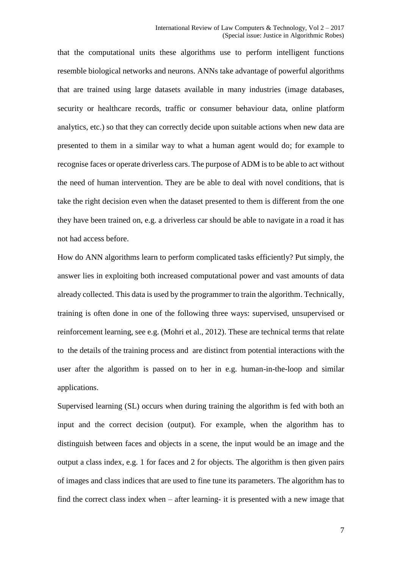that the computational units these algorithms use to perform intelligent functions resemble biological networks and neurons. ANNs take advantage of powerful algorithms that are trained using large datasets available in many industries (image databases, security or healthcare records, traffic or consumer behaviour data, online platform analytics, etc.) so that they can correctly decide upon suitable actions when new data are presented to them in a similar way to what a human agent would do; for example to recognise faces or operate driverless cars. The purpose of ADM is to be able to act without the need of human intervention. They are be able to deal with novel conditions, that is take the right decision even when the dataset presented to them is different from the one they have been trained on, e.g. a driverless car should be able to navigate in a road it has not had access before.

How do ANN algorithms learn to perform complicated tasks efficiently? Put simply, the answer lies in exploiting both increased computational power and vast amounts of data already collected. This data is used by the programmer to train the algorithm. Technically, training is often done in one of the following three ways: supervised, unsupervised or reinforcement learning, see e.g. (Mohri et al., 2012). These are technical terms that relate to the details of the training process and are distinct from potential interactions with the user after the algorithm is passed on to her in e.g. human-in-the-loop and similar applications.

Supervised learning (SL) occurs when during training the algorithm is fed with both an input and the correct decision (output). For example, when the algorithm has to distinguish between faces and objects in a scene, the input would be an image and the output a class index, e.g. 1 for faces and 2 for objects. The algorithm is then given pairs of images and class indices that are used to fine tune its parameters. The algorithm has to find the correct class index when – after learning- it is presented with a new image that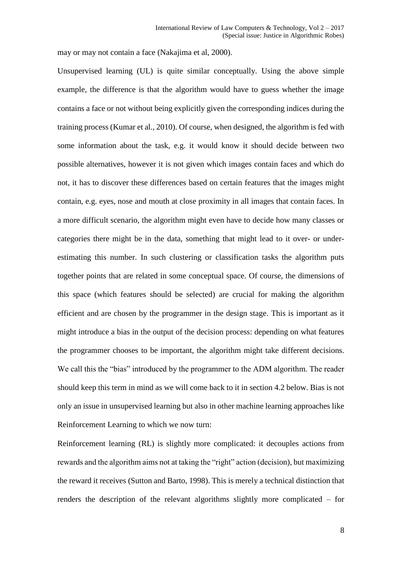may or may not contain a face (Nakajima et al, 2000).

Unsupervised learning (UL) is quite similar conceptually. Using the above simple example, the difference is that the algorithm would have to guess whether the image contains a face or not without being explicitly given the corresponding indices during the training process (Kumar et al., 2010). Of course, when designed, the algorithm is fed with some information about the task, e.g. it would know it should decide between two possible alternatives, however it is not given which images contain faces and which do not, it has to discover these differences based on certain features that the images might contain, e.g. eyes, nose and mouth at close proximity in all images that contain faces. In a more difficult scenario, the algorithm might even have to decide how many classes or categories there might be in the data, something that might lead to it over- or underestimating this number. In such clustering or classification tasks the algorithm puts together points that are related in some conceptual space. Of course, the dimensions of this space (which features should be selected) are crucial for making the algorithm efficient and are chosen by the programmer in the design stage. This is important as it might introduce a bias in the output of the decision process: depending on what features the programmer chooses to be important, the algorithm might take different decisions. We call this the "bias" introduced by the programmer to the ADM algorithm. The reader should keep this term in mind as we will come back to it in section 4.2 below. Bias is not only an issue in unsupervised learning but also in other machine learning approaches like Reinforcement Learning to which we now turn:

Reinforcement learning (RL) is slightly more complicated: it decouples actions from rewards and the algorithm aims not at taking the "right" action (decision), but maximizing the reward it receives (Sutton and Barto, 1998). This is merely a technical distinction that renders the description of the relevant algorithms slightly more complicated – for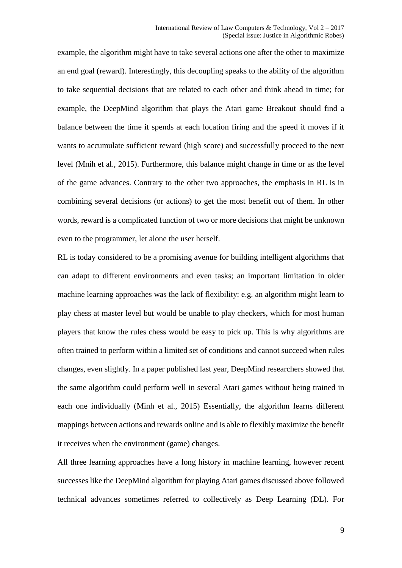example, the algorithm might have to take several actions one after the other to maximize an end goal (reward). Interestingly, this decoupling speaks to the ability of the algorithm to take sequential decisions that are related to each other and think ahead in time; for example, the DeepMind algorithm that plays the Atari game Breakout should find a balance between the time it spends at each location firing and the speed it moves if it wants to accumulate sufficient reward (high score) and successfully proceed to the next level (Mnih et al., 2015). Furthermore, this balance might change in time or as the level of the game advances. Contrary to the other two approaches, the emphasis in RL is in combining several decisions (or actions) to get the most benefit out of them. In other words, reward is a complicated function of two or more decisions that might be unknown even to the programmer, let alone the user herself.

RL is today considered to be a promising avenue for building intelligent algorithms that can adapt to different environments and even tasks; an important limitation in older machine learning approaches was the lack of flexibility: e.g. an algorithm might learn to play chess at master level but would be unable to play checkers, which for most human players that know the rules chess would be easy to pick up. This is why algorithms are often trained to perform within a limited set of conditions and cannot succeed when rules changes, even slightly. In a paper published last year, DeepMind researchers showed that the same algorithm could perform well in several Atari games without being trained in each one individually (Minh et al., 2015) Essentially, the algorithm learns different mappings between actions and rewards online and is able to flexibly maximize the benefit it receives when the environment (game) changes.

All three learning approaches have a long history in machine learning, however recent successes like the DeepMind algorithm for playing Atari games discussed above followed technical advances sometimes referred to collectively as Deep Learning (DL). For

9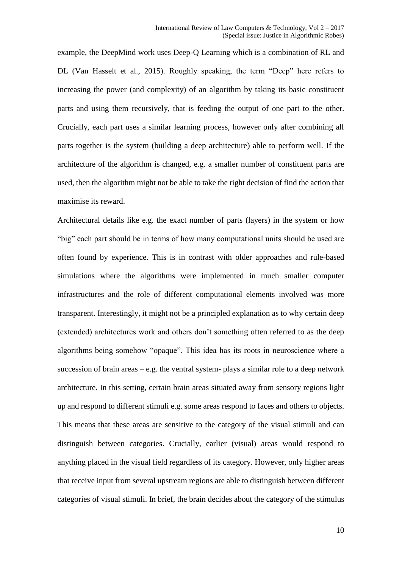example, the DeepMind work uses Deep-Q Learning which is a combination of RL and DL (Van Hasselt et al., 2015). Roughly speaking, the term "Deep" here refers to increasing the power (and complexity) of an algorithm by taking its basic constituent parts and using them recursively, that is feeding the output of one part to the other. Crucially, each part uses a similar learning process, however only after combining all parts together is the system (building a deep architecture) able to perform well. If the architecture of the algorithm is changed, e.g. a smaller number of constituent parts are used, then the algorithm might not be able to take the right decision of find the action that maximise its reward.

Architectural details like e.g. the exact number of parts (layers) in the system or how "big" each part should be in terms of how many computational units should be used are often found by experience. This is in contrast with older approaches and rule-based simulations where the algorithms were implemented in much smaller computer infrastructures and the role of different computational elements involved was more transparent. Interestingly, it might not be a principled explanation as to why certain deep (extended) architectures work and others don't something often referred to as the deep algorithms being somehow "opaque". This idea has its roots in neuroscience where a succession of brain areas  $-e.g.$  the ventral system- plays a similar role to a deep network architecture. In this setting, certain brain areas situated away from sensory regions light up and respond to different stimuli e.g. some areas respond to faces and others to objects. This means that these areas are sensitive to the category of the visual stimuli and can distinguish between categories. Crucially, earlier (visual) areas would respond to anything placed in the visual field regardless of its category. However, only higher areas that receive input from several upstream regions are able to distinguish between different categories of visual stimuli. In brief, the brain decides about the category of the stimulus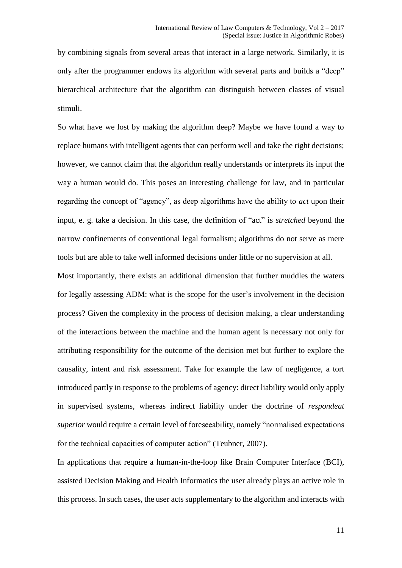by combining signals from several areas that interact in a large network. Similarly, it is only after the programmer endows its algorithm with several parts and builds a "deep" hierarchical architecture that the algorithm can distinguish between classes of visual stimuli.

So what have we lost by making the algorithm deep? Maybe we have found a way to replace humans with intelligent agents that can perform well and take the right decisions; however, we cannot claim that the algorithm really understands or interprets its input the way a human would do. This poses an interesting challenge for law, and in particular regarding the concept of "agency", as deep algorithms have the ability to *act* upon their input, e. g. take a decision. In this case, the definition of "act" is *stretched* beyond the narrow confinements of conventional legal formalism; algorithms do not serve as mere tools but are able to take well informed decisions under little or no supervision at all.

Most importantly, there exists an additional dimension that further muddles the waters for legally assessing ADM: what is the scope for the user's involvement in the decision process? Given the complexity in the process of decision making, a clear understanding of the interactions between the machine and the human agent is necessary not only for attributing responsibility for the outcome of the decision met but further to explore the causality, intent and risk assessment. Take for example the law of negligence, a tort introduced partly in response to the problems of agency: direct liability would only apply in supervised systems, whereas indirect liability under the doctrine of *respondeat superior* would require a certain level of foreseeability, namely "normalised expectations for the technical capacities of computer action" (Teubner, 2007).

In applications that require a human-in-the-loop like Brain Computer Interface (BCI), assisted Decision Making and Health Informatics the user already plays an active role in this process. In such cases, the user acts supplementary to the algorithm and interacts with

11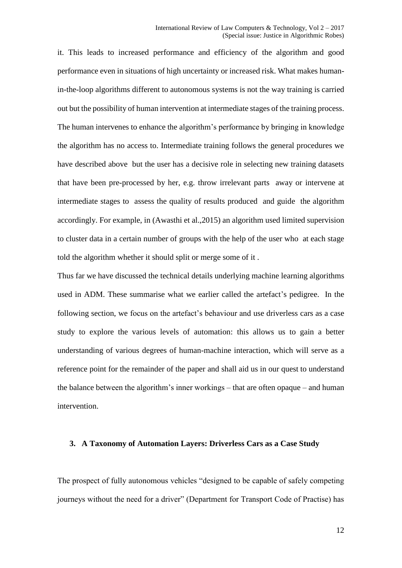it. This leads to increased performance and efficiency of the algorithm and good performance even in situations of high uncertainty or increased risk. What makes humanin-the-loop algorithms different to autonomous systems is not the way training is carried out but the possibility of human intervention at intermediate stages of the training process. The human intervenes to enhance the algorithm's performance by bringing in knowledge the algorithm has no access to. Intermediate training follows the general procedures we have described above but the user has a decisive role in selecting new training datasets that have been pre-processed by her, e.g. throw irrelevant parts away or intervene at intermediate stages to assess the quality of results produced and guide the algorithm accordingly. For example, in (Awasthi et al.,2015) an algorithm used limited supervision to cluster data in a certain number of groups with the help of the user who at each stage told the algorithm whether it should split or merge some of it .

Thus far we have discussed the technical details underlying machine learning algorithms used in ADM. These summarise what we earlier called the artefact's pedigree. In the following section, we focus on the artefact's behaviour and use driverless cars as a case study to explore the various levels of automation: this allows us to gain a better understanding of various degrees of human-machine interaction, which will serve as a reference point for the remainder of the paper and shall aid us in our quest to understand the balance between the algorithm's inner workings – that are often opaque – and human intervention.

#### **3. A Taxonomy of Automation Layers: Driverless Cars as a Case Study**

The prospect of fully autonomous vehicles "designed to be capable of safely competing journeys without the need for a driver" (Department for Transport Code of Practise) has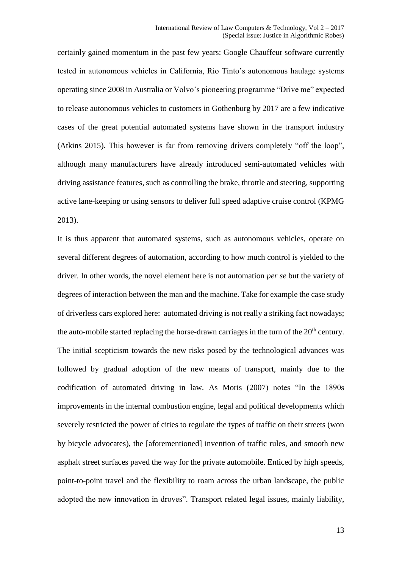certainly gained momentum in the past few years: Google Chauffeur software currently tested in autonomous vehicles in California, Rio Tinto's autonomous haulage systems operating since 2008 in Australia or Volvo's pioneering programme "Drive me" expected to release autonomous vehicles to customers in Gothenburg by 2017 are a few indicative cases of the great potential automated systems have shown in the transport industry (Atkins 2015). This however is far from removing drivers completely "off the loop", although many manufacturers have already introduced semi-automated vehicles with driving assistance features, such as controlling the brake, throttle and steering, supporting active lane-keeping or using sensors to deliver full speed adaptive cruise control (KPMG 2013).

It is thus apparent that automated systems, such as autonomous vehicles, operate on several different degrees of automation, according to how much control is yielded to the driver. In other words, the novel element here is not automation *per se* but the variety of degrees of interaction between the man and the machine. Take for example the case study of driverless cars explored here: automated driving is not really a striking fact nowadays; the auto-mobile started replacing the horse-drawn carriages in the turn of the  $20<sup>th</sup>$  century. The initial scepticism towards the new risks posed by the technological advances was followed by gradual adoption of the new means of transport, mainly due to the codification of automated driving in law. As Moris (2007) notes "In the 1890s improvements in the internal combustion engine, legal and political developments which severely restricted the power of cities to regulate the types of traffic on their streets (won by bicycle advocates), the [aforementioned] invention of traffic rules, and smooth new asphalt street surfaces paved the way for the private automobile. Enticed by high speeds, point-to-point travel and the flexibility to roam across the urban landscape, the public adopted the new innovation in droves". Transport related legal issues, mainly liability,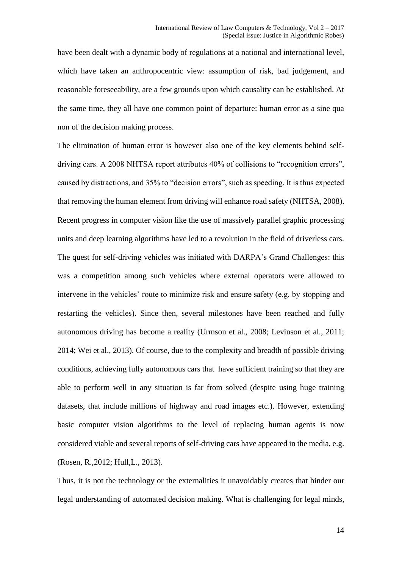have been dealt with a dynamic body of regulations at a national and international level, which have taken an anthropocentric view: assumption of risk, bad judgement, and reasonable foreseeability, are a few grounds upon which causality can be established. At the same time, they all have one common point of departure: human error as a sine qua non of the decision making process.

The elimination of human error is however also one of the key elements behind selfdriving cars. A 2008 NHTSA report attributes 40% of collisions to "recognition errors", caused by distractions, and 35% to "decision errors", such as speeding. It is thus expected that removing the human element from driving will enhance road safety (NHTSA, 2008). Recent progress in computer vision like the use of massively parallel graphic processing units and deep learning algorithms have led to a revolution in the field of driverless cars. The quest for self-driving vehicles was initiated with DARPA's Grand Challenges: this was a competition among such vehicles where external operators were allowed to intervene in the vehicles' route to minimize risk and ensure safety (e.g. by stopping and restarting the vehicles). Since then, several milestones have been reached and fully autonomous driving has become a reality (Urmson et al., 2008; Levinson et al., 2011; 2014; Wei et al., 2013). Of course, due to the complexity and breadth of possible driving conditions, achieving fully autonomous cars that have sufficient training so that they are able to perform well in any situation is far from solved (despite using huge training datasets, that include millions of highway and road images etc.). However, extending basic computer vision algorithms to the level of replacing human agents is now considered viable and several reports of self-driving cars have appeared in the media, e.g. (Rosen, R.,2012; Hull,L., 2013).

Thus, it is not the technology or the externalities it unavoidably creates that hinder our legal understanding of automated decision making. What is challenging for legal minds,

14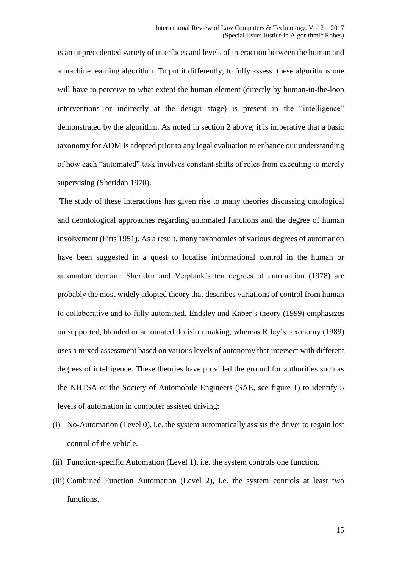is an unprecedented variety of interfaces and levels of interaction between the human and a machine learning algorithm. To put it differently, to fully assess these algorithms one will have to perceive to what extent the human element (directly by human-in-the-loop interventions or indirectly at the design stage) is present in the "intelligence" demonstrated by the algorithm. As noted in section 2 above, it is imperative that a basic taxonomy for ADM is adopted prior to any legal evaluation to enhance our understanding of how each "automated" task involves constant shifts of roles from executing to merely supervising (Sheridan 1970).

The study of these interactions has given rise to many theories discussing ontological and deontological approaches regarding automated functions and the degree of human involvement (Fitts 1951). As a result, many taxonomies of various degrees of automation have been suggested in a quest to localise informational control in the human or automaton domain: Sheridan and Verplank's ten degrees of automation (1978) are probably the most widely adopted theory that describes variations of control from human to collaborative and to fully automated, Endsley and Kaber's theory (1999) emphasizes on supported, blended or automated decision making, whereas Riley's taxonomy (1989) uses a mixed assessment based on various levels of autonomy that intersect with different degrees of intelligence. These theories have provided the ground for authorities such as the NHTSA or the Society of Automobile Engineers (SAE, see figure 1) to identify 5 levels of automation in computer assisted driving:

- (i) No-Automation (Level 0), i.e. the system automatically assists the driver to regain lost control of the vehicle.
- (ii) Function-specific Automation (Level 1), i.e. the system controls one function.
- (iii) Combined Function Automation (Level 2), i.e. the system controls at least two functions.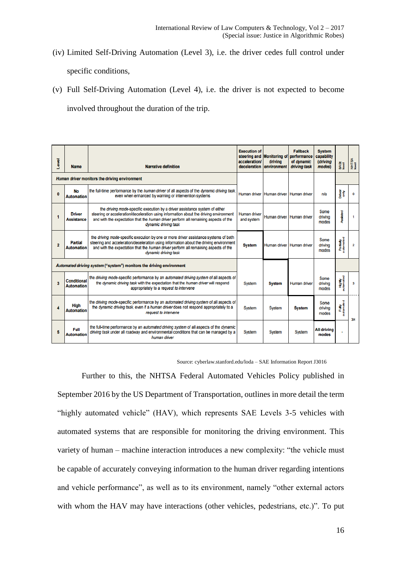- (iv) Limited Self-Driving Automation (Level 3), i.e. the driver cedes full control under specific conditions,
- (v) Full Self-Driving Automation (Level 4), i.e. the driver is not expected to become involved throughout the duration of the trip.

| <b>Level</b>                                                         | <b>Name</b>                             | <b>Narrative definition</b>                                                                                                                                                                                                                                                                   | <b>Execution of</b><br>acceleration/<br>deceleration | steering and Monitoring of<br>drivina<br>environment | <b>Fallback</b><br>performance<br>of dynamic<br>driving task | <b>System</b><br>capability<br><b>(driving</b><br>modes) | BASI<br>Ievel              | NHTSA<br>Isvel          |
|----------------------------------------------------------------------|-----------------------------------------|-----------------------------------------------------------------------------------------------------------------------------------------------------------------------------------------------------------------------------------------------------------------------------------------------|------------------------------------------------------|------------------------------------------------------|--------------------------------------------------------------|----------------------------------------------------------|----------------------------|-------------------------|
| Human driver monitors the driving environment                        |                                         |                                                                                                                                                                                                                                                                                               |                                                      |                                                      |                                                              |                                                          |                            |                         |
| $\mathbf{0}$                                                         | No<br><b>Automation</b>                 | the full-time performance by the human driver of all aspects of the dynamic driving task,<br>even when enhanced by warning or intervention systems                                                                                                                                            | <b>Human driver</b>                                  | Human driver Human driver                            |                                                              | n/a                                                      | हैं<br>हैं<br>व            | 0                       |
| 1                                                                    | <b>Driver</b><br><b>Assistance</b>      | the driving mode-specific execution by a driver assistance system of either<br>steering or acceleration/deceleration using information about the driving environment<br>and with the expectation that the human driver perform all remaining aspects of the<br>dynamic driving task           | <b>Human driver</b><br>and system                    | Human driver Human driver                            |                                                              | Some<br>drivina<br>modes                                 | Assisted                   | 1                       |
| $\overline{2}$                                                       | <b>Partial</b><br><b>Automation</b>     | the driving mode-specific execution by one or more driver assistance systems of both<br>steering and acceleration/deceleration using information about the driving environment<br>and with the expectation that the human driver perform all remaining aspects of the<br>dynamic driving task | <b>System</b>                                        | Human driver                                         | <b>Human driver</b>                                          | Some<br>driving<br>modes                                 | Partially<br>automated     | $\overline{\mathbf{2}}$ |
| Automated driving system ("system") monitors the driving environment |                                         |                                                                                                                                                                                                                                                                                               |                                                      |                                                      |                                                              |                                                          |                            |                         |
| $\overline{\mathbf{3}}$                                              | <b>Conditional</b><br><b>Automation</b> | the driving mode-specific performance by an automated driving system of all aspects of<br>the dynamic driving task with the expectation that the human driver will respond<br>appropriately to a request to intervene                                                                         | <b>System</b>                                        | <b>System</b>                                        | Human driver                                                 | Some<br>driving<br>modes                                 | <b>Highly</b><br>automated | 3                       |
| 4                                                                    | High<br><b>Automation</b>               | the driving mode-specific performance by an automated driving system of all aspects of<br>the dynamic driving task, even if a human driver does not respond appropriately to a<br>request to intervene                                                                                        | <b>System</b>                                        | <b>System</b>                                        | <b>System</b>                                                | Some<br>driving<br>modes                                 | Fully<br>automated         | 3 <sub>M</sub>          |
| 5                                                                    | Full<br><b>Automation</b>               | the full-time performance by an automated driving system of all aspects of the dynamic<br>driving task under all roadway and environmental conditions that can be managed by a<br>human driver                                                                                                | System                                               | <b>System</b>                                        | <b>System</b>                                                | <b>All driving</b><br>modes                              | ¥                          |                         |

Source: cyberlaw.stanford.edu/loda – SAE Information Report J3016

Further to this, the NHTSA Federal Automated Vehicles Policy published in September 2016 by the US Department of Transportation, outlines in more detail the term "highly automated vehicle" (HAV), which represents SAE Levels 3-5 vehicles with automated systems that are responsible for monitoring the driving environment. This variety of human – machine interaction introduces a new complexity: "the vehicle must be capable of accurately conveying information to the human driver regarding intentions and vehicle performance", as well as to its environment, namely "other external actors with whom the HAV may have interactions (other vehicles, pedestrians, etc.)". To put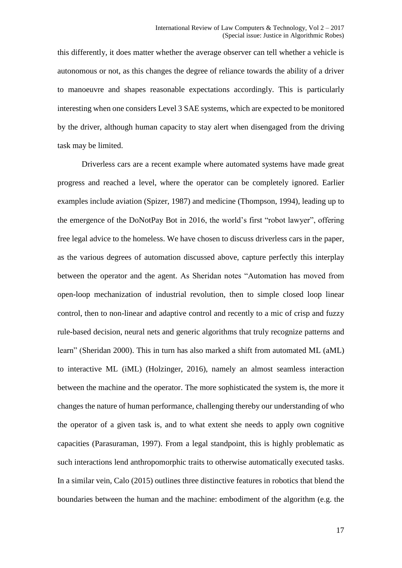this differently, it does matter whether the average observer can tell whether a vehicle is autonomous or not, as this changes the degree of reliance towards the ability of a driver to manoeuvre and shapes reasonable expectations accordingly. This is particularly interesting when one considers Level 3 SAE systems, which are expected to be monitored by the driver, although human capacity to stay alert when disengaged from the driving task may be limited.

Driverless cars are a recent example where automated systems have made great progress and reached a level, where the operator can be completely ignored. Earlier examples include aviation (Spizer, 1987) and medicine (Thompson, 1994), leading up to the emergence of the DoNotPay Bot in 2016, the world's first "robot lawyer", offering free legal advice to the homeless. We have chosen to discuss driverless cars in the paper, as the various degrees of automation discussed above, capture perfectly this interplay between the operator and the agent. As Sheridan notes "Automation has moved from open-loop mechanization of industrial revolution, then to simple closed loop linear control, then to non-linear and adaptive control and recently to a mic of crisp and fuzzy rule-based decision, neural nets and generic algorithms that truly recognize patterns and learn" (Sheridan 2000). This in turn has also marked a shift from automated ML (aML) to interactive ML (iML) (Holzinger, 2016), namely an almost seamless interaction between the machine and the operator. The more sophisticated the system is, the more it changes the nature of human performance, challenging thereby our understanding of who the operator of a given task is, and to what extent she needs to apply own cognitive capacities (Parasuraman, 1997). From a legal standpoint, this is highly problematic as such interactions lend anthropomorphic traits to otherwise automatically executed tasks. In a similar vein, Calo (2015) outlines three distinctive features in robotics that blend the boundaries between the human and the machine: embodiment of the algorithm (e.g. the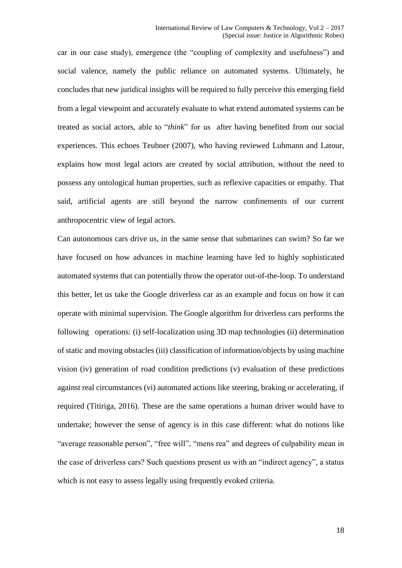car in our case study), emergence (the "coupling of complexity and usefulness") and social valence, namely the public reliance on automated systems. Ultimately, he concludes that new juridical insights will be required to fully perceive this emerging field from a legal viewpoint and accurately evaluate to what extend automated systems can be treated as social actors, able to "*think*" for us after having benefited from our social experiences. This echoes Teubner (2007), who having reviewed Luhmann and Latour, explains how most legal actors are created by social attribution, without the need to possess any ontological human properties, such as reflexive capacities or empathy. That said, artificial agents are still beyond the narrow confinements of our current anthropocentric view of legal actors.

Can autonomous cars drive us, in the same sense that submarines can swim? So far we have focused on how advances in machine learning have led to highly sophisticated automated systems that can potentially throw the operator out-of-the-loop. To understand this better, let us take the Google driverless car as an example and focus on how it can operate with minimal supervision. The Google algorithm for driverless cars performs the following operations: (i) self-localization using 3D map technologies (ii) determination of static and moving obstacles (iii) classification of information/objects by using machine vision (iv) generation of road condition predictions (v) evaluation of these predictions against real circumstances (vi) automated actions like steering, braking or accelerating, if required (Titiriga, 2016). These are the same operations a human driver would have to undertake; however the sense of agency is in this case different: what do notions like "average reasonable person", "free will", "mens rea" and degrees of culpability mean in the case of driverless cars? Such questions present us with an "indirect agency", a status which is not easy to assess legally using frequently evoked criteria.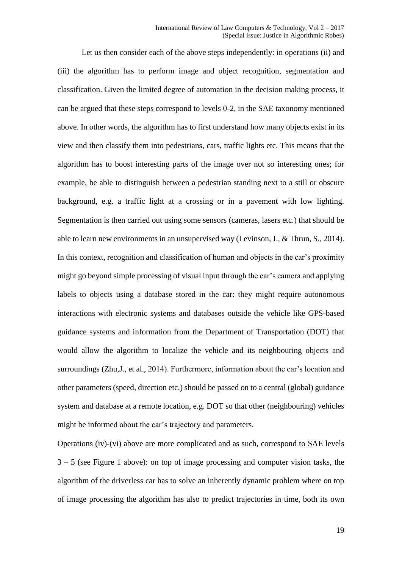Let us then consider each of the above steps independently: in operations (ii) and (iii) the algorithm has to perform image and object recognition, segmentation and classification. Given the limited degree of automation in the decision making process, it can be argued that these steps correspond to levels 0-2, in the SAE taxonomy mentioned above. In other words, the algorithm has to first understand how many objects exist in its view and then classify them into pedestrians, cars, traffic lights etc. This means that the algorithm has to boost interesting parts of the image over not so interesting ones; for example, be able to distinguish between a pedestrian standing next to a still or obscure background, e.g. a traffic light at a crossing or in a pavement with low lighting. Segmentation is then carried out using some sensors (cameras, lasers etc.) that should be able to learn new environments in an unsupervised way (Levinson, J., & Thrun, S., 2014). In this context, recognition and classification of human and objects in the car's proximity might go beyond simple processing of visual input through the car's camera and applying labels to objects using a database stored in the car: they might require autonomous interactions with electronic systems and databases outside the vehicle like GPS-based guidance systems and information from the Department of Transportation (DOT) that would allow the algorithm to localize the vehicle and its neighbouring objects and surroundings (Zhu,J., et al., 2014). Furthermore, information about the car's location and other parameters (speed, direction etc.) should be passed on to a central (global) guidance system and database at a remote location, e.g. DOT so that other (neighbouring) vehicles might be informed about the car's trajectory and parameters.

Operations (iv)-(vi) above are more complicated and as such, correspond to SAE levels  $3 - 5$  (see Figure 1 above): on top of image processing and computer vision tasks, the algorithm of the driverless car has to solve an inherently dynamic problem where on top of image processing the algorithm has also to predict trajectories in time, both its own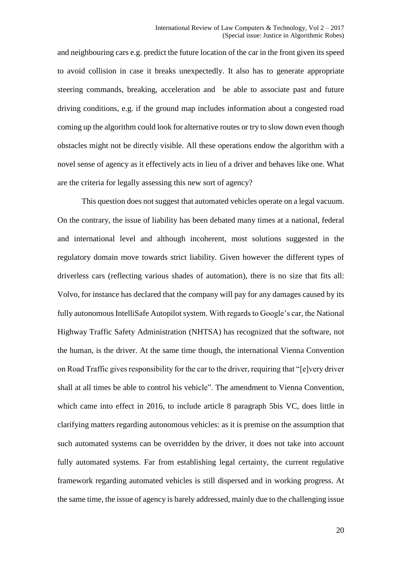and neighbouring cars e.g. predict the future location of the car in the front given its speed to avoid collision in case it breaks unexpectedly. It also has to generate appropriate steering commands, breaking, acceleration and be able to associate past and future driving conditions, e.g. if the ground map includes information about a congested road coming up the algorithm could look for alternative routes or try to slow down even though obstacles might not be directly visible. All these operations endow the algorithm with a novel sense of agency as it effectively acts in lieu of a driver and behaves like one. What are the criteria for legally assessing this new sort of agency?

This question does not suggest that automated vehicles operate on a legal vacuum. On the contrary, the issue of liability has been debated many times at a national, federal and international level and although incoherent, most solutions suggested in the regulatory domain move towards strict liability. Given however the different types of driverless cars (reflecting various shades of automation), there is no size that fits all: Volvo, for instance has declared that the company will pay for any damages caused by its fully autonomous IntelliSafe Autopilot system. With regards to Google's car, the National Highway Traffic Safety Administration (NHTSA) has recognized that the software, not the human, is the driver. At the same time though, the international Vienna Convention on Road Traffic gives responsibility for the car to the driver, requiring that "[e]very driver shall at all times be able to control his vehicle". The amendment to Vienna Convention, which came into effect in 2016, to include article 8 paragraph 5bis VC, does little in clarifying matters regarding autonomous vehicles: as it is premise on the assumption that such automated systems can be overridden by the driver, it does not take into account fully automated systems. Far from establishing legal certainty, the current regulative framework regarding automated vehicles is still dispersed and in working progress. At the same time, the issue of agency is barely addressed, mainly due to the challenging issue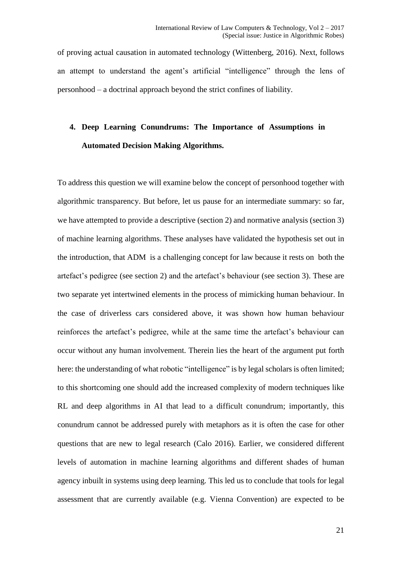of proving actual causation in automated technology (Wittenberg, 2016). Next, follows an attempt to understand the agent's artificial "intelligence" through the lens of personhood – a doctrinal approach beyond the strict confines of liability.

# **4. Deep Learning Conundrums: The Importance of Assumptions in Automated Decision Making Algorithms.**

To address this question we will examine below the concept of personhood together with algorithmic transparency. But before, let us pause for an intermediate summary: so far, we have attempted to provide a descriptive (section 2) and normative analysis (section 3) of machine learning algorithms. These analyses have validated the hypothesis set out in the introduction, that ADM is a challenging concept for law because it rests on both the artefact's pedigree (see section 2) and the artefact's behaviour (see section 3). These are two separate yet intertwined elements in the process of mimicking human behaviour. In the case of driverless cars considered above, it was shown how human behaviour reinforces the artefact's pedigree, while at the same time the artefact's behaviour can occur without any human involvement. Therein lies the heart of the argument put forth here: the understanding of what robotic "intelligence" is by legal scholars is often limited; to this shortcoming one should add the increased complexity of modern techniques like RL and deep algorithms in AI that lead to a difficult conundrum; importantly, this conundrum cannot be addressed purely with metaphors as it is often the case for other questions that are new to legal research (Calo 2016). Earlier, we considered different levels of automation in machine learning algorithms and different shades of human agency inbuilt in systems using deep learning. This led us to conclude that tools for legal assessment that are currently available (e.g. Vienna Convention) are expected to be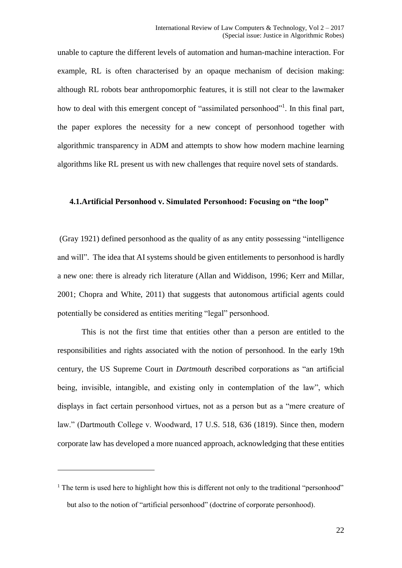unable to capture the different levels of automation and human-machine interaction. For example, RL is often characterised by an opaque mechanism of decision making: although RL robots bear anthropomorphic features, it is still not clear to the lawmaker how to deal with this emergent concept of "assimilated personhood"<sup>1</sup>. In this final part, the paper explores the necessity for a new concept of personhood together with algorithmic transparency in ADM and attempts to show how modern machine learning algorithms like RL present us with new challenges that require novel sets of standards.

### **4.1.Artificial Personhood v. Simulated Personhood: Focusing on "the loop"**

(Gray 1921) defined personhood as the quality of as any entity possessing "intelligence and will". The idea that AI systems should be given entitlements to personhood is hardly a new one: there is already rich literature (Allan and Widdison, 1996; Kerr and Millar, 2001; Chopra and White, 2011) that suggests that autonomous artificial agents could potentially be considered as entities meriting "legal" personhood.

This is not the first time that entities other than a person are entitled to the responsibilities and rights associated with the notion of personhood. In the early 19th century, the US Supreme Court in *Dartmouth* described corporations as "an artificial being, invisible, intangible, and existing only in contemplation of the law", which displays in fact certain personhood virtues, not as a person but as a "mere creature of law." (Dartmouth College v. Woodward, 17 U.S. 518, 636 (1819). Since then, modern corporate law has developed a more nuanced approach, acknowledging that these entities

<u>.</u>

 $<sup>1</sup>$  The term is used here to highlight how this is different not only to the traditional "personhood"</sup> but also to the notion of "artificial personhood" (doctrine of corporate personhood).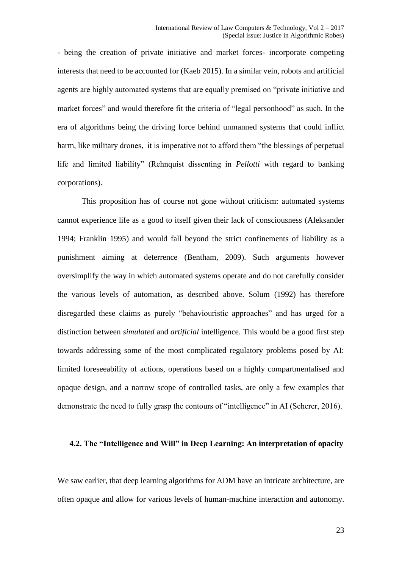- being the creation of private initiative and market forces- incorporate competing interests that need to be accounted for (Kaeb 2015). In a similar vein, robots and artificial agents are highly automated systems that are equally premised on "private initiative and market forces" and would therefore fit the criteria of "legal personhood" as such. In the era of algorithms being the driving force behind unmanned systems that could inflict harm, like military drones, it is imperative not to afford them "the blessings of perpetual life and limited liability" (Rehnquist dissenting in *Pellotti* with regard to banking corporations).

This proposition has of course not gone without criticism: automated systems cannot experience life as a good to itself given their lack of consciousness (Aleksander 1994; Franklin 1995) and would fall beyond the strict confinements of liability as a punishment aiming at deterrence (Bentham, 2009). Such arguments however oversimplify the way in which automated systems operate and do not carefully consider the various levels of automation, as described above. Solum (1992) has therefore disregarded these claims as purely "behaviouristic approaches" and has urged for a distinction between *simulated* and *artificial* intelligence. This would be a good first step towards addressing some of the most complicated regulatory problems posed by AI: limited foreseeability of actions, operations based on a highly compartmentalised and opaque design, and a narrow scope of controlled tasks, are only a few examples that demonstrate the need to fully grasp the contours of "intelligence" in AI (Scherer, 2016).

### **4.2. The "Intelligence and Will" in Deep Learning: An interpretation of opacity**

We saw earlier, that deep learning algorithms for ADM have an intricate architecture, are often opaque and allow for various levels of human-machine interaction and autonomy.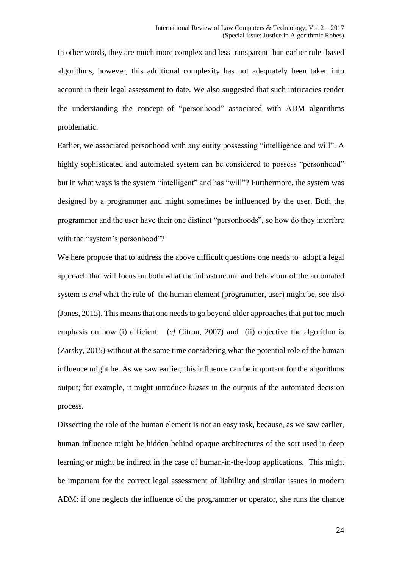In other words, they are much more complex and less transparent than earlier rule- based algorithms, however, this additional complexity has not adequately been taken into account in their legal assessment to date. We also suggested that such intricacies render the understanding the concept of "personhood" associated with ADM algorithms problematic.

Earlier, we associated personhood with any entity possessing "intelligence and will". A highly sophisticated and automated system can be considered to possess "personhood" but in what ways is the system "intelligent" and has "will"? Furthermore, the system was designed by a programmer and might sometimes be influenced by the user. Both the programmer and the user have their one distinct "personhoods", so how do they interfere with the "system's personhood"?

We here propose that to address the above difficult questions one needs to adopt a legal approach that will focus on both what the infrastructure and behaviour of the automated system is *and* what the role of the human element (programmer, user) might be, see also (Jones, 2015). This means that one needs to go beyond older approaches that put too much emphasis on how (i) efficient (*cf* Citron, 2007) and (ii) objective the algorithm is (Zarsky, 2015) without at the same time considering what the potential role of the human influence might be. As we saw earlier, this influence can be important for the algorithms output; for example, it might introduce *biases* in the outputs of the automated decision process.

Dissecting the role of the human element is not an easy task, because, as we saw earlier, human influence might be hidden behind opaque architectures of the sort used in deep learning or might be indirect in the case of human-in-the-loop applications. This might be important for the correct legal assessment of liability and similar issues in modern ADM: if one neglects the influence of the programmer or operator, she runs the chance

24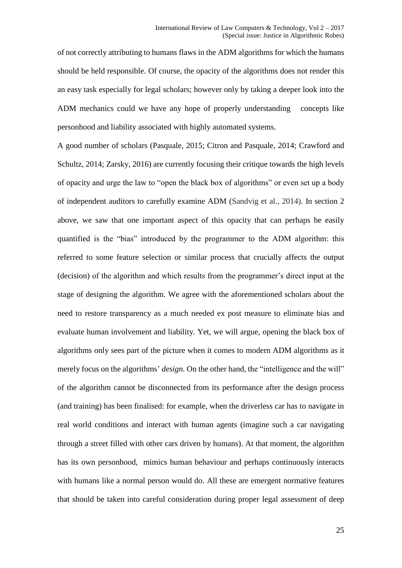of not correctly attributing to humans flaws in the ADM algorithms for which the humans should be held responsible. Of course, the opacity of the algorithms does not render this an easy task especially for legal scholars; however only by taking a deeper look into the ADM mechanics could we have any hope of properly understanding concepts like personhood and liability associated with highly automated systems.

A good number of scholars (Pasquale, 2015; Citron and Pasquale, 2014; Crawford and Schultz, 2014; Zarsky, 2016) are currently focusing their critique towards the high levels of opacity and urge the law to "open the black box of algorithms" or even set up a body of independent auditors to carefully examine ADM (Sandvig et al., 2014). In section 2 above, we saw that one important aspect of this opacity that can perhaps be easily quantified is the "bias" introduced by the programmer to the ADM algorithm: this referred to some feature selection or similar process that crucially affects the output (decision) of the algorithm and which results from the programmer's direct input at the stage of designing the algorithm. We agree with the aforementioned scholars about the need to restore transparency as a much needed ex post measure to eliminate bias and evaluate human involvement and liability. Yet, we will argue, opening the black box of algorithms only sees part of the picture when it comes to modern ADM algorithms as it merely focus on the algorithms' *design*. On the other hand, the "intelligence and the will" of the algorithm cannot be disconnected from its performance after the design process (and training) has been finalised: for example, when the driverless car has to navigate in real world conditions and interact with human agents (imagine such a car navigating through a street filled with other cars driven by humans). At that moment, the algorithm has its own personhood, mimics human behaviour and perhaps continuously interacts with humans like a normal person would do. All these are emergent normative features that should be taken into careful consideration during proper legal assessment of deep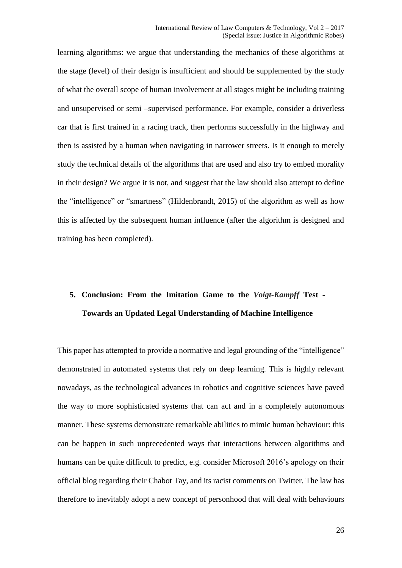learning algorithms: we argue that understanding the mechanics of these algorithms at the stage (level) of their design is insufficient and should be supplemented by the study of what the overall scope of human involvement at all stages might be including training and unsupervised or semi –supervised performance. For example, consider a driverless car that is first trained in a racing track, then performs successfully in the highway and then is assisted by a human when navigating in narrower streets. Is it enough to merely study the technical details of the algorithms that are used and also try to embed morality in their design? We argue it is not, and suggest that the law should also attempt to define the "intelligence" or "smartness" (Hildenbrandt, 2015) of the algorithm as well as how this is affected by the subsequent human influence (after the algorithm is designed and training has been completed).

# **5. Conclusion: From the Imitation Game to the** *Voigt-Kampff* **Test - Towards an Updated Legal Understanding of Machine Intelligence**

This paper has attempted to provide a normative and legal grounding of the "intelligence" demonstrated in automated systems that rely on deep learning. This is highly relevant nowadays, as the technological advances in robotics and cognitive sciences have paved the way to more sophisticated systems that can act and in a completely autonomous manner. These systems demonstrate remarkable abilities to mimic human behaviour: this can be happen in such unprecedented ways that interactions between algorithms and humans can be quite difficult to predict, e.g. consider Microsoft 2016's apology on their official blog regarding their Chabot Tay, and its racist comments on Twitter. The law has therefore to inevitably adopt a new concept of personhood that will deal with behaviours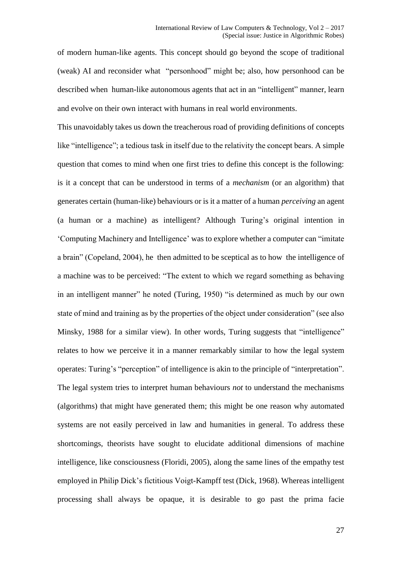of modern human-like agents. This concept should go beyond the scope of traditional (weak) AI and reconsider what "personhood" might be; also, how personhood can be described when human-like autonomous agents that act in an "intelligent" manner, learn and evolve on their own interact with humans in real world environments.

This unavoidably takes us down the treacherous road of providing definitions of concepts like "intelligence"; a tedious task in itself due to the relativity the concept bears. A simple question that comes to mind when one first tries to define this concept is the following: is it a concept that can be understood in terms of a *mechanism* (or an algorithm) that generates certain (human-like) behaviours or is it a matter of a human *perceiving* an agent (a human or a machine) as intelligent? Although Turing's original intention in 'Computing Machinery and Intelligence' was to explore whether a computer can "imitate a brain" (Copeland, 2004), he then admitted to be sceptical as to how the intelligence of a machine was to be perceived: "The extent to which we regard something as behaving in an intelligent manner" he noted (Turing, 1950) "is determined as much by our own state of mind and training as by the properties of the object under consideration" (see also Minsky, 1988 for a similar view). In other words, Turing suggests that "intelligence" relates to how we perceive it in a manner remarkably similar to how the legal system operates: Turing's "perception" of intelligence is akin to the principle of "interpretation". The legal system tries to interpret human behaviours *not* to understand the mechanisms (algorithms) that might have generated them; this might be one reason why automated systems are not easily perceived in law and humanities in general. To address these shortcomings, theorists have sought to elucidate additional dimensions of machine intelligence, like consciousness (Floridi, 2005), along the same lines of the empathy test employed in Philip Dick's fictitious Voigt-Kampff test (Dick, 1968). Whereas intelligent processing shall always be opaque, it is desirable to go past the prima facie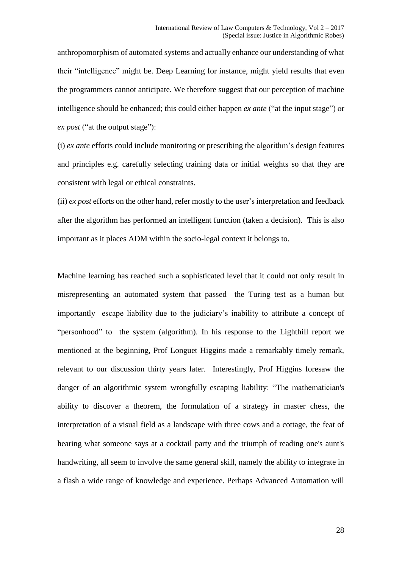anthropomorphism of automated systems and actually enhance our understanding of what their "intelligence" might be. Deep Learning for instance, might yield results that even the programmers cannot anticipate. We therefore suggest that our perception of machine intelligence should be enhanced; this could either happen *ex ante* ("at the input stage") or *ex post* ("at the output stage"):

(i) *ex ante* efforts could include monitoring or prescribing the algorithm's design features and principles e.g. carefully selecting training data or initial weights so that they are consistent with legal or ethical constraints.

(ii) *ex post* efforts on the other hand, refer mostly to the user's interpretation and feedback after the algorithm has performed an intelligent function (taken a decision). This is also important as it places ADM within the socio-legal context it belongs to.

Machine learning has reached such a sophisticated level that it could not only result in misrepresenting an automated system that passed the Turing test as a human but importantly escape liability due to the judiciary's inability to attribute a concept of "personhood" to the system (algorithm). In his response to the Lighthill report we mentioned at the beginning, Prof Longuet Higgins made a remarkably timely remark, relevant to our discussion thirty years later. Interestingly, Prof Higgins foresaw the danger of an algorithmic system wrongfully escaping liability: "The mathematician's ability to discover a theorem, the formulation of a strategy in master chess, the interpretation of a visual field as a landscape with three cows and a cottage, the feat of hearing what someone says at a cocktail party and the triumph of reading one's aunt's handwriting, all seem to involve the same general skill, namely the ability to integrate in a flash a wide range of knowledge and experience. Perhaps Advanced Automation will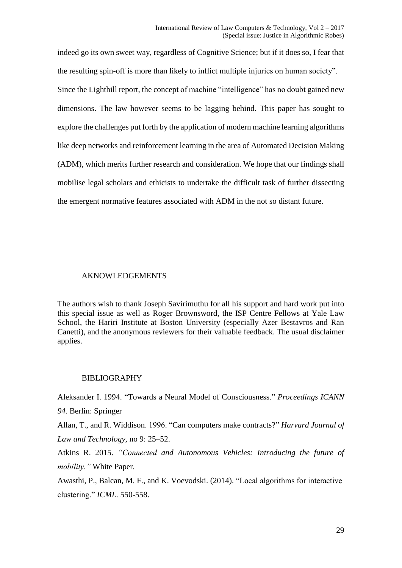indeed go its own sweet way, regardless of Cognitive Science; but if it does so, I fear that the resulting spin-off is more than likely to inflict multiple injuries on human society". Since the Lighthill report, the concept of machine "intelligence" has no doubt gained new dimensions. The law however seems to be lagging behind. This paper has sought to explore the challenges put forth by the application of modern machine learning algorithms like deep networks and reinforcement learning in the area of Automated Decision Making (ADM), which merits further research and consideration. We hope that our findings shall mobilise legal scholars and ethicists to undertake the difficult task of further dissecting the emergent normative features associated with ADM in the not so distant future.

## AKNOWLEDGEMENTS

The authors wish to thank Joseph Savirimuthu for all his support and hard work put into this special issue as well as Roger Brownsword, the ISP Centre Fellows at Yale Law School, the Hariri Institute at Boston University (especially Azer Bestavros and Ran Canetti), and the anonymous reviewers for their valuable feedback. The usual disclaimer applies.

### BIBLIOGRAPHY

Aleksander I. 1994. "Towards a Neural Model of Consciousness." *Proceedings ICANN 94.* Berlin: Springer

Allan, T., and R. Widdison. 1996. "Can computers make contracts?" *Harvard Journal of Law and Technology,* no 9: 25–52.

Atkins R. 2015. *"Connected and Autonomous Vehicles: Introducing the future of mobility."* White Paper.

Awasthi, P., Balcan, M. F., and K. Voevodski. (2014). "Local algorithms for interactive clustering." *ICML.* 550-558.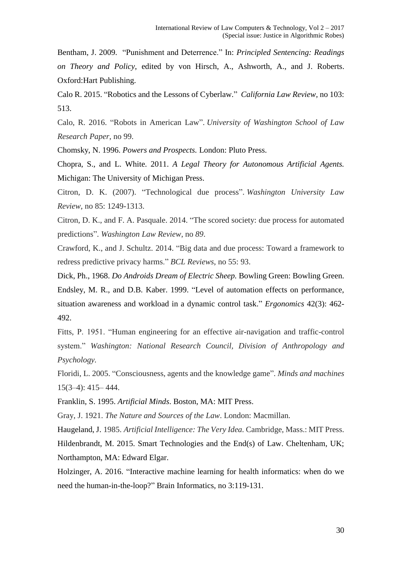Bentham, J. 2009. "Punishment and Deterrence." In: *Principled Sentencing: Readings on Theory and Policy*, edited by von Hirsch, A., Ashworth, A., and J. Roberts. Oxford:Hart Publishing.

Calo R. 2015. "Robotics and the Lessons of Cyberlaw." *California Law Review,* no 103: 513.

Calo, R. 2016. "Robots in American Law". *University of Washington School of Law Research Paper*, no 99.

Chomsky, N. 1996. *Powers and Prospects.* London: Pluto Press.

Chopra, S., and L. White. 2011. *A Legal Theory for Autonomous Artificial Agents.* Michigan: The University of Michigan Press.

Citron, D. K. (2007). "Technological due process". *Washington University Law Review*, no 85: 1249-1313.

Citron, D. K., and F. A. Pasquale. 2014. "The scored society: due process for automated predictions". *Washington Law Review*, no *89*.

Crawford, K., and J. Schultz. 2014. "Big data and due process: Toward a framework to redress predictive privacy harms." *BCL Reviews*, no 55: 93.

Dick, Ph., 1968. *Do Androids Dream of Electric Sheep.* Bowling Green: Bowling Green. Endsley, M. R., and D.B. Kaber. 1999. "Level of automation effects on performance, situation awareness and workload in a dynamic control task." *Ergonomics* 42(3): 462- 492.

Fitts, P. 1951. "Human engineering for an effective air-navigation and traffic-control system." *Washington: National Research Council, Division of Anthropology and Psychology.*

Floridi, L. 2005. "Consciousness, agents and the knowledge game". *Minds and machines* 15(3–4): 415– 444.

Franklin, S. 1995. *Artificial Minds*. Boston, MA: MIT Press.

Gray, J. 1921. *The Nature and Sources of the Law*. London: Macmillan.

Haugeland, J. 1985. *Artificial Intelligence: The Very Idea.* Cambridge, Mass.: MIT Press. Hildenbrandt, M. 2015. Smart Technologies and the End(s) of Law. Cheltenham, UK; Northampton, MA: Edward Elgar.

Holzinger, A. 2016. "Interactive machine learning for health informatics: when do we need the human-in-the-loop?" Brain Informatics, no 3:119-131.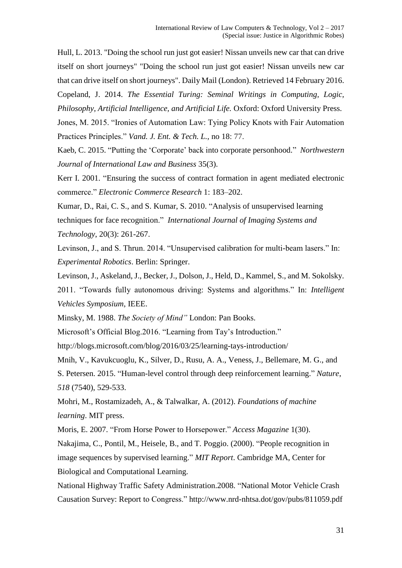Hull, L. 2013. ["Doing the school run just got easier! Nissan unveils new car that can drive](http://www.dailymail.co.uk/sciencetech/article-2278725/The-car-drives-iPad-New-motor-autopilot-strain-school-run.html#ixzz2KtzUvWhy)  [itself on short journeys"](http://www.dailymail.co.uk/sciencetech/article-2278725/The-car-drives-iPad-New-motor-autopilot-strain-school-run.html#ixzz2KtzUvWhy) "Doing the school run just got easier! Nissan unveils new car that can drive itself on short journeys". Daily Mail (London). Retrieved 14 February 2016. Copeland, J. 2014. *The Essential Turing: Seminal Writings in Computing, Logic, Philosophy, Artificial Intelligence, and Artificial Life.* Oxford: Oxford University Press. Jones, M. 2015. "Ironies of Automation Law: Tying Policy Knots with Fair Automation Practices Principles." *Vand. J. Ent. & Tech. L.,* no 18: 77.

Kaeb, C. 2015. "Putting the 'Corporate' back into corporate personhood." *Northwestern Journal of International Law and Business* 35(3).

Kerr I. 2001. "Ensuring the success of contract formation in agent mediated electronic commerce." *Electronic Commerce Research* 1: 183–202.

Kumar, D., Rai, C. S., and S. Kumar, S. 2010. "Analysis of unsupervised learning techniques for face recognition." *International Journal of Imaging Systems and Technology*, 20(3): 261-267.

Levinson, J., and S. Thrun. 2014. "Unsupervised calibration for multi-beam lasers." In: *Experimental Robotics*. Berlin: Springer.

Levinson, J., Askeland, J., Becker, J., Dolson, J., Held, D., Kammel, S., and M. Sokolsky. 2011. "Towards fully autonomous driving: Systems and algorithms." In: *Intelligent Vehicles Symposium*, IEEE.

Minsky, M. 1988. *The Society of Mind"* London: Pan Books.

Microsoft's Official Blog.2016. "Learning from Tay's Introduction."

http://blogs.microsoft.com/blog/2016/03/25/learning-tays-introduction/

Mnih, V., Kavukcuoglu, K., Silver, D., Rusu, A. A., Veness, J., Bellemare, M. G., and S. Petersen. 2015. "Human-level control through deep reinforcement learning." *Nature*, *518* (7540), 529-533.

Mohri, M., Rostamizadeh, A., & Talwalkar, A. (2012). *Foundations of machine learning*. MIT press.

Moris, E. 2007. "From Horse Power to Horsepower." *Access Magazine* 1(30).

Nakajima, C., Pontil, M., Heisele, B., and T. Poggio. (2000). "People recognition in image sequences by supervised learning." *MIT Report*. Cambridge MA, Center for Biological and Computational Learning.

National Highway Traffic Safety Administration.2008. "National Motor Vehicle Crash Causation Survey: Report to Congress." http://www.nrd-nhtsa.dot/gov/pubs/811059.pdf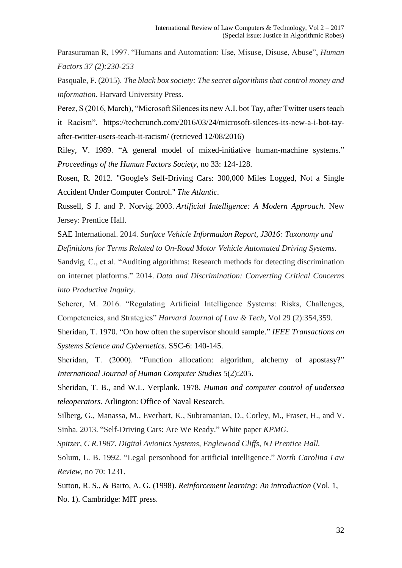Parasuraman R, 1997. "Humans and Automation: Use, Misuse, Disuse, Abuse", *Human Factors 37 (2):230-253*

Pasquale, F. (2015). *The black box society: The secret algorithms that control money and information*. Harvard University Press.

Perez, S (2016, March), "Microsoft Silences its new A.I. bot Tay, after Twitter users teach it Racism". https://techcrunch.com/2016/03/24/microsoft-silences-its-new-a-i-bot-tayafter-twitter-users-teach-it-racism/ (retrieved 12/08/2016)

Riley, V. 1989. "A general model of mixed-initiative human-machine systems." *Proceedings of the Human Factors Society*, no 33: 124-128.

Rosen, R. 2012. ["Google's Self-Driving Cars: 300,000 Miles Logged, Not a Single](http://www.theatlantic.com/technology/archive/2012/08/googles-self-driving-cars-300-000-miles-logged-not-a-single-accident-under-computer-control/260926/)  [Accident Under Computer Control."](http://www.theatlantic.com/technology/archive/2012/08/googles-self-driving-cars-300-000-miles-logged-not-a-single-accident-under-computer-control/260926/) *The Atlantic.*

Russell, S J. and P. Norvig. 2003. *Artificial Intelligence: A Modern Approach.* New Jersey: Prentice Hall.

SAE International. 2014. *Surface Vehicle Information Report, J3016: Taxonomy and Definitions for Terms Related to On-Road Motor Vehicle Automated Driving Systems.*

Sandvig, C., et al. "Auditing algorithms: Research methods for detecting discrimination on internet platforms." 2014. *Data and Discrimination: Converting Critical Concerns into Productive Inquiry.*

Scherer, M. 2016. "Regulating Artificial Intelligence Systems: Risks, Challenges, Competencies, and Strategies" *Harvard Journal of Law & Tech*, Vol 29 (2):354,359.

Sheridan, T. 1970. "On how often the supervisor should sample." *IEEE Transactions on Systems Science and Cybernetics.* SSC-6: 140-145.

Sheridan, T. (2000). "Function allocation: algorithm, alchemy of apostasy?" *International Journal of Human Computer Studies* 5(2):205.

Sheridan, T. B., and W.L. Verplank. 1978. *Human and computer control of undersea teleoperators.* Arlington: Office of Naval Research.

Silberg, G., Manassa, M., Everhart, K., Subramanian, D., Corley, M., Fraser, H., and V. Sinha. 2013. "Self-Driving Cars: Are We Ready." White paper *KPMG.* 

*Spitzer, C R.1987. Digital Avionics Systems, Englewood Cliffs, NJ Prentice Hall.* 

Solum, L. B. 1992. "Legal personhood for artificial intelligence." *North Carolina Law Review*, no 70: 1231.

Sutton, R. S., & Barto, A. G. (1998). *Reinforcement learning: An introduction* (Vol. 1, No. 1). Cambridge: MIT press.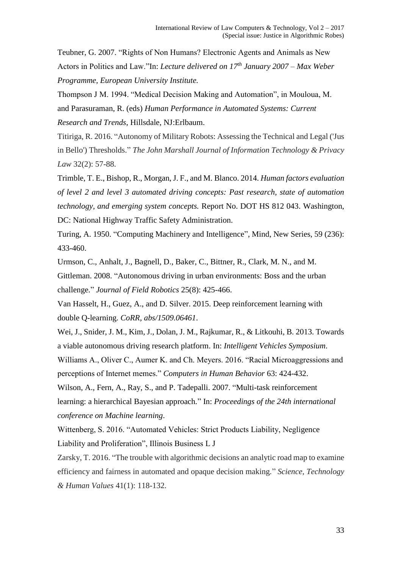Teubner, G. 2007. "Rights of Non Humans? Electronic Agents and Animals as New Actors in Politics and Law."In: *Lecture delivered on 17th January 2007 – Max Weber Programme, European University Institute.*

Thompson J M. 1994. "Medical Decision Making and Automation", in Mouloua, M. and Parasuraman, R. (eds) *Human Performance in Automated Systems: Current Research and Trends*, Hillsdale, NJ:Erlbaum.

Titiriga, R. 2016. "Autonomy of Military Robots: Assessing the Technical and Legal ('Jus in Bello') Thresholds." *The John Marshall Journal of Information Technology & Privacy Law* 32(2): 57-88.

Trimble, T. E., Bishop, R., Morgan, J. F., and M. Blanco. 2014. *Human factors evaluation of level 2 and level 3 automated driving concepts: Past research, state of automation technology, and emerging system concepts.* Report No. DOT HS 812 043. Washington, DC: National Highway Traffic Safety Administration.

Turing, A. 1950. "Computing Machinery and Intelligence", Mind, New Series, 59 (236): 433-460.

Urmson, C., Anhalt, J., Bagnell, D., Baker, C., Bittner, R., Clark, M. N., and M. Gittleman. 2008. "Autonomous driving in urban environments: Boss and the urban challenge." *Journal of Field Robotics* 25(8): 425-466.

Van Hasselt, H., Guez, A., and D. Silver. 2015. Deep reinforcement learning with double Q-learning. *CoRR, abs/1509.06461*.

Wei, J., Snider, J. M., Kim, J., Dolan, J. M., Rajkumar, R., & Litkouhi, B. 2013. Towards a viable autonomous driving research platform. In: *Intelligent Vehicles Symposium*.

Williams A., Oliver C., Aumer K. and Ch. Meyers. 2016. "Racial Microaggressions and perceptions of Internet memes." *Computers in Human Behavior* 63: 424-432.

Wilson, A., Fern, A., Ray, S., and P. Tadepalli. 2007. "Multi-task reinforcement learning: a hierarchical Bayesian approach." In: *Proceedings of the 24th international conference on Machine learning*.

Wittenberg, S. 2016. "Automated Vehicles: Strict Products Liability, Negligence Liability and Proliferation", Illinois Business L J

Zarsky, T. 2016. "The trouble with algorithmic decisions an analytic road map to examine efficiency and fairness in automated and opaque decision making." *Science, Technology & Human Values* 41(1): 118-132.